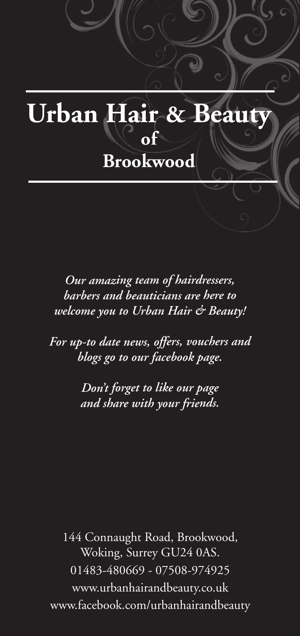

*Our amazing team of hairdressers, barbers and beauticians are here to welcome you to Urban Hair & Beauty!*

*For up-to date news, offers, vouchers and blogs go to our facebook page.*

> *Don't forget to like our page and share with your friends.*

144 Connaught Road, Brookwood, Woking, Surrey GU24 0AS. 01483-480669 - 07508-974925 www.urbanhairandbeauty.co.uk www.facebook.com/urbanhairandbeauty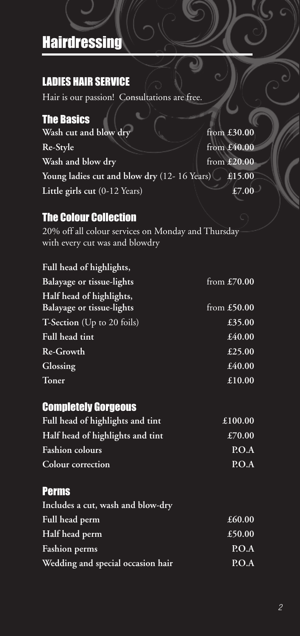# **Hairdressing**

## LADIES HAIR SERVICE

Hair is our passion! Consultations are free.

## The Basics

**Wash** cut and blow dry from £30.00 **Re-Style** from **£40.00 Wash** and blow dry from £20.00 **Young ladies cut and blow dry** (12- 16 Years) **£15.00 Little girls cut** (0-12 Years) **£7.00**

## The Colour Collection

20% off all colour services on Monday and Thursday with every cut was and blowdry

#### **Full head of highlights,**

| from $£70.00$ |
|---------------|
|               |
| from $£50.00$ |
| £35.00        |
| £40.00        |
| £25.00        |
| £40.00        |
| £10.00        |
|               |

## Completely Gorgeous

| Full head of highlights and tint | £100.00 |
|----------------------------------|---------|
| Half head of highlights and tint | £70.00  |
| <b>Fashion colours</b>           | P.O.A   |
| Colour correction                | P.O.A   |

## Perms

| Includes a cut, wash and blow-dry |        |
|-----------------------------------|--------|
| Full head perm                    | £60.00 |
| Half head perm                    | £50.00 |
| <b>Fashion</b> perms              | P.O.A  |
| Wedding and special occasion hair | P.O.A  |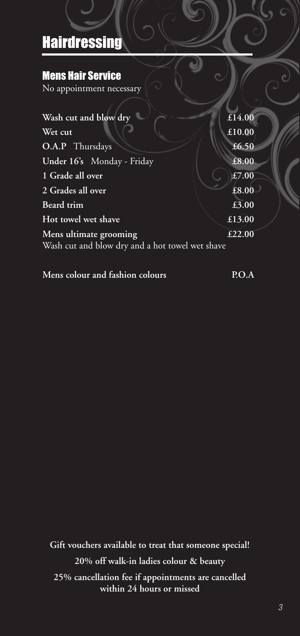# **Hairdressing**

## Mens Hair Service

No appointment necessary

| £14.00                                          |
|-------------------------------------------------|
| £10.00                                          |
| £6.50                                           |
| £8.00                                           |
| $\overline{£7.00}$                              |
| £8.00                                           |
| £3.00                                           |
| £13.00                                          |
| £22.00                                          |
| Wash cut and blow dry and a hot towel wet shave |
|                                                 |

**Mens colour and fashion colours P.O.A**

**Gift vouchers available to treat that someone special! 20% off walk-in ladies colour & beauty 25% cancellation fee if appointments are cancelled within 24 hours or missed**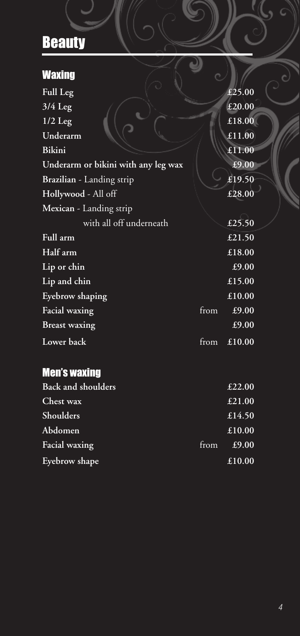| <b>Waxing</b>                       |      |        |
|-------------------------------------|------|--------|
| Full Leg                            |      | £25.00 |
| $3/\overline{4 \text{ Leg}}$        |      | £20.00 |
| $1/2$ Leg                           |      | £18.00 |
| Underarm                            |      | £11.00 |
| Bikini                              |      | £11.00 |
| Underarm or bikini with any leg wax |      | £9.00  |
| Brazilian - Landing strip           |      | £19.50 |
| Hollywood - All off                 |      | £28.00 |
| Mexican - Landing strip             |      |        |
| with all off underneath             |      | £25.50 |
| Full arm                            |      | £21.50 |
| Half arm                            |      | £18.00 |
| Lip or chin                         |      | £9.00  |
| Lip and chin                        |      | £15.00 |
| Eyebrow shaping                     |      | £10.00 |
| Facial waxing                       | from | £9.00  |
| <b>Breast waxing</b>                |      | £9.00  |
| <b>Lower</b> back                   | from | £10.00 |

## Men's waxing

| <b>Back and shoulders</b> |      | £22.00 |
|---------------------------|------|--------|
| Chest wax                 |      | £21.00 |
| Shoulders                 |      | £14.50 |
| Abdomen                   |      | £10.00 |
| Facial waxing             | from | £9.00  |
| Eyebrow shape             |      | £10.00 |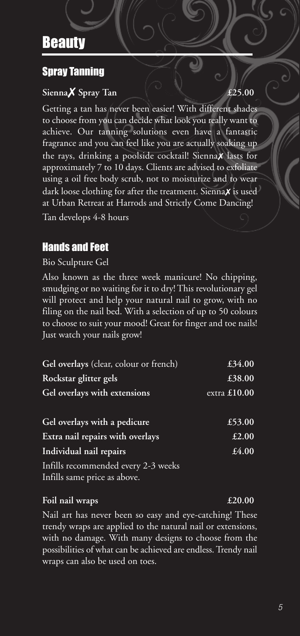## Spray Tanning

## **Sienna**✗ **Spray Tan £25.00**

Getting a tan has never been easier! With different shades to choose from you can decide what look you really want to achieve. Our tanning solutions even have a fantastic fragrance and you can feel like you are actually soaking up the rays, drinking a poolside cocktail! Sienna✗ lasts for approximately 7 to 10 days. Clients are advised to exfoliate using a oil free body scrub, not to moisturize and to wear dark loose clothing for after the treatment. Sienna**x** is used at Urban Retreat at Harrods and Strictly Come Dancing! Tan develops 4-8 hours

## Hands and Feet

Bio Sculpture Gel

Also known as the three week manicure! No chipping, smudging or no waiting for it to dry!This revolutionary gel will protect and help your natural nail to grow, with no filing on the nail bed. With a selection of up to 50 colours to choose to suit your mood! Great for finger and toe nails! Just watch your nails grow!

| Gel overlays (clear, colour or french)                              | £34.00         |
|---------------------------------------------------------------------|----------------|
| Rockstar glitter gels                                               | £38.00         |
| Gel overlays with extensions                                        | extra $£10.00$ |
|                                                                     |                |
| Gel overlays with a pedicure                                        | £53.00         |
| Extra nail repairs with overlays                                    | £2.00          |
| Individual nail repairs                                             | £4.00          |
| Infills recommended every 2-3 weeks<br>Infills same price as above. |                |

### **Foil nail wraps £20.00**

Nail art has never been so easy and eye-catching! These trendy wraps are applied to the natural nail or extensions, with no damage. With many designs to choose from the possibilities of what can be achieved are endless.Trendy nail wraps can also be used on toes.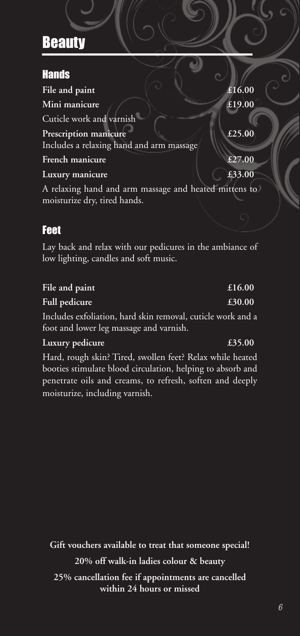## Hands

|                                          | £16.00                                                |
|------------------------------------------|-------------------------------------------------------|
|                                          | $\overline{\text{£}19.00}$                            |
|                                          |                                                       |
|                                          | £25.00                                                |
| Includes a relaxing hand and arm massage |                                                       |
|                                          | £27.00                                                |
|                                          | £33.00                                                |
|                                          | A relaxing hand and arm massage and heated mittens to |
|                                          |                                                       |
|                                          |                                                       |
|                                          |                                                       |

## Feet

Lay back and relax with our pedicures in the ambiance of low lighting, candles and soft music.

| File and paint                                              | £16.00 |
|-------------------------------------------------------------|--------|
| <b>Full pedicure</b>                                        | £30.00 |
| Includes exfoliation, hard skin removal, cuticle work and a |        |
| foot and lower leg massage and varnish.                     |        |

#### **Luxury pedicure £35.00**

Hard, rough skin? Tired, swollen feet? Relax while heated booties stimulate blood circulation, helping to absorb and penetrate oils and creams, to refresh, soften and deeply moisturize, including varnish.

**Gift vouchers available to treat that someone special! 20% off walk-in ladies colour & beauty 25% cancellation fee if appointments are cancelled within 24 hours or missed**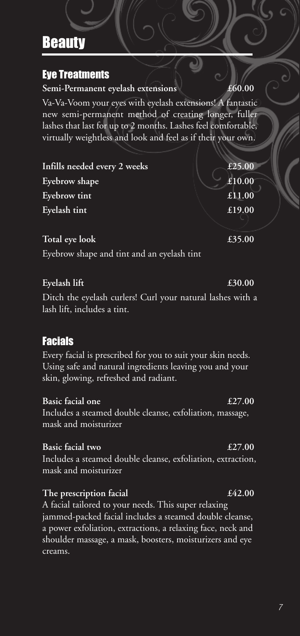## Eye Treatments

**Semi-Permanent eyelash extensions £60.00**

Va-Va-Voom your eyes with eyelash extensions! A fantastic new semi-permanent method of creating longer, fuller lashes that last for up to 2 months. Lashes feel comfortable, virtually weightless and look and feel as if their your own.

**Infills needed every 2 weeks £25.00 Eyebrow** shape **Exercise Exercise E10.00 Eyebrow tint £11.00 Eyelash tint £19.00**

## **Total eye look £35.00**

Eyebrow shape and tint and an eyelash tint

## **Eyelash lift £30.00**

Ditch the eyelash curlers! Curl your natural lashes with a lash lift, includes a tint.

## Facials

Every facial is prescribed for you to suit your skin needs. Using safe and natural ingredients leaving you and your skin, glowing, refreshed and radiant.

## **Basic facial one £27.00**

Includes a steamed double cleanse, exfoliation, massage, mask and moisturizer

## **Basic facial two £27.00**

Includes a steamed double cleanse, exfoliation, extraction, mask and moisturizer

## **The prescription facial £42.00**

A facial tailored to your needs. This super relaxing jammed-packed facial includes a steamed double cleanse, a power exfoliation, extractions, a relaxing face, neck and shoulder massage, a mask, boosters, moisturizers and eye creams.

### *7*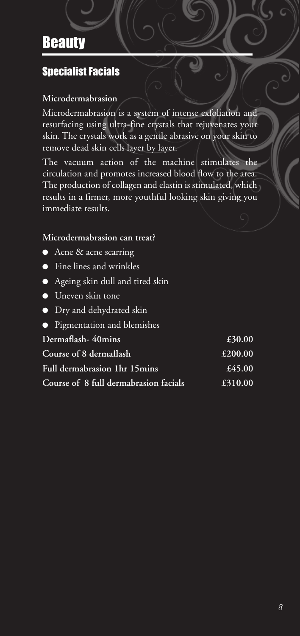## **Specialist Facials**

### **Microdermabrasion**

Microdermabrasion is a system of intense exfoliation and resurfacing using ultra-fine crystals that rejuvenates your skin. The crystals work as a gentle abrasive on your skin to remove dead skin cells layer by layer.

The vacuum action of the machine stimulates the circulation and promotes increased blood flow to the area. The production of collagen and elastin is stimulated, which results in a firmer, more youthful looking skin giving you immediate results.

#### **Microdermabrasion can treat?**

- Acne & acne scarring
- Fine lines and wrinkles
- Ageing skin dull and tired skin
- Uneven skin tone
- Dry and dehydrated skin
- Pigmentation and blemishes

| Dermaflash-40mins                     | £30.00  |
|---------------------------------------|---------|
| Course of 8 dermaflash                | £200.00 |
| Full dermabrasion 1hr 15mins          | £45.00  |
| Course of 8 full dermabrasion facials | £310.00 |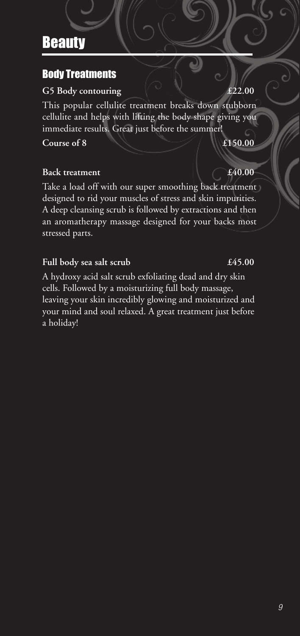## Body Treatments

### **G5 Body contouring £22.00**

This popular cellulite treatment breaks down stubborn cellulite and helps with lifting the body shape giving you immediate results. Great just before the summer!

**Course of 8 £150.00**

### **Back treatment E40.00**

Take a load off with our super smoothing back treatment designed to rid your muscles of stress and skin impurities. A deep cleansing scrub is followed by extractions and then an aromatherapy massage designed for your backs most stressed parts.

## **Full body sea salt scrub £45.00**

A hydroxy acid salt scrub exfoliating dead and dry skin cells. Followed by a moisturizing full body massage, leaving your skin incredibly glowing and moisturized and your mind and soul relaxed. A great treatment just before a holiday!

#### *9*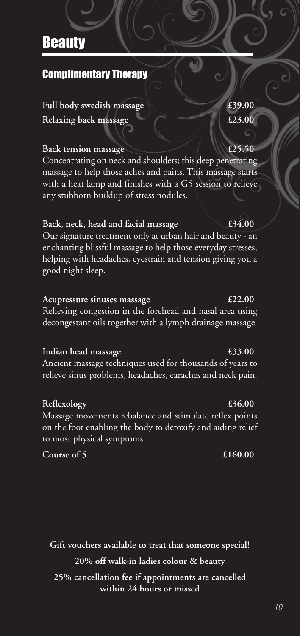## Complimentary Therapy

**Full body swedish massage £39.00 Relaxing back massage £23.00**

#### **Back** *tension massage*

Concentrating on neck and shoulders; this deep penetrating massage to help those aches and pains. This massage starts with a heat lamp and finishes with a G5 session to relieve any stubborn buildup of stress nodules.

#### **Back, neck, head and facial massage £34.00**

Our signature treatment only at urban hair and beauty - an enchanting blissful massage to help those everyday stresses, helping with headaches, eyestrain and tension giving you a good night sleep.

#### **Acupressure sinuses massage £22.00**

Relieving congestion in the forehead and nasal area using decongestant oils together with a lymph drainage massage.

#### **Indian head massage £33.00**

Ancient massage techniques used for thousands of years to relieve sinus problems, headaches, earaches and neck pain.

#### **Reflexology £36.00**

Massage movements rebalance and stimulate reflex points on the foot enabling the body to detoxify and aiding relief to most physical symptoms.

**Course of 5 £160.00**

**Gift vouchers available to treat that someone special! 20% off walk-in ladies colour & beauty 25% cancellation fee if appointments are cancelled within 24 hours or missed**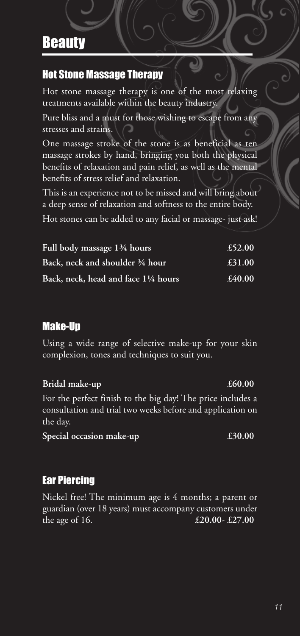## Hot Stone Massage Therapy

Hot stone massage therapy is one of the most relaxing treatments available within the beauty industry.

Pure bliss and a must for those wishing to escape from any stresses and strains.

One massage stroke of the stone is as beneficial as ten massage strokes by hand, bringing you both the physical benefits of relaxation and pain relief, as well as the mental benefits of stress relief and relaxation.

This is an experience not to be missed and will bring about a deep sense of relaxation and softness to the entire body. Hot stones can be added to any facial or massage- just ask!

| Full body massage 1 <sup>3</sup> /4 hours | £52.00 |
|-------------------------------------------|--------|
| Back, neck and shoulder 3/4 hour          | £31.00 |
| Back, neck, head and face 11/4 hours      | £40.00 |

## Make-Up

Using a wide range of selective make-up for your skin complexion, tones and techniques to suit you.

**Bridal** make-up *£60.00* For the perfect finish to the big day! The price includes a consultation and trial two weeks before and application on the day. **Special occasion make-up** *£30.00* 

## Ear Piercing

Nickel free! The minimum age is 4 months; a parent or guardian (over 18 years) must accompany customers under the age of 16. **£20.00- £27.00**